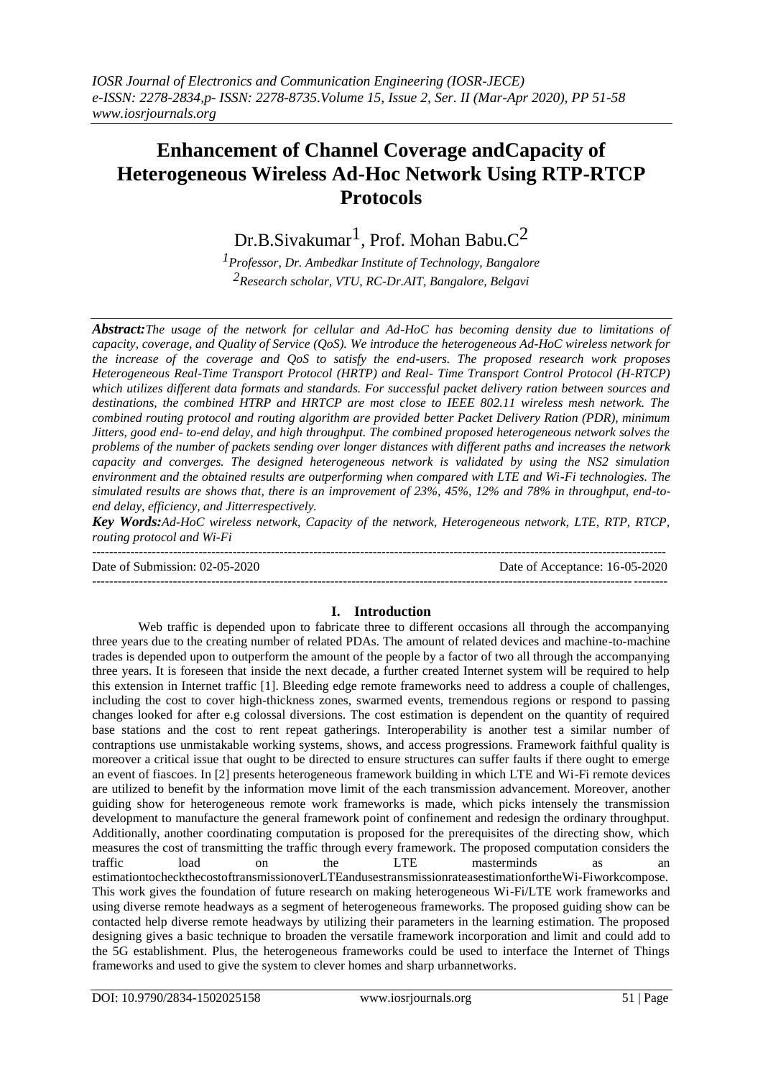# **Enhancement of Channel Coverage andCapacity of Heterogeneous Wireless Ad-Hoc Network Using RTP-RTCP Protocols**

Dr.B.Sivakumar<sup>1</sup>, Prof. Mohan Babu. $C^2$ 

*1Professor, Dr. Ambedkar Institute of Technology, Bangalore 2Research scholar, VTU, RC-Dr.AIT, Bangalore, Belgavi*

*Abstract:The usage of the network for cellular and Ad-HoC has becoming density due to limitations of capacity, coverage, and Quality of Service (QoS). We introduce the heterogeneous Ad-HoC wireless network for the increase of the coverage and QoS to satisfy the end-users. The proposed research work proposes Heterogeneous Real-Time Transport Protocol (HRTP) and Real- Time Transport Control Protocol (H-RTCP) which utilizes different data formats and standards. For successful packet delivery ration between sources and destinations, the combined HTRP and HRTCP are most close to IEEE 802.11 wireless mesh network. The combined routing protocol and routing algorithm are provided better Packet Delivery Ration (PDR), minimum Jitters, good end- to-end delay, and high throughput. The combined proposed heterogeneous network solves the problems of the number of packets sending over longer distances with different paths and increases the network capacity and converges. The designed heterogeneous network is validated by using the NS2 simulation environment and the obtained results are outperforming when compared with LTE and Wi-Fi technologies. The simulated results are shows that, there is an improvement of 23%, 45%, 12% and 78% in throughput, end-toend delay, efficiency, and Jitterrespectively.*

*Key Words:Ad-HoC wireless network, Capacity of the network, Heterogeneous network, LTE, RTP, RTCP, routing protocol and Wi-Fi*

--------------------------------------------------------------------------------------------------------------------------------------- Date of Submission: 02-05-2020 Date of Acceptance: 16-05-2020 ---------------------------------------------------------------------------------------------------------------------------------------

# **I. Introduction**

Web traffic is depended upon to fabricate three to different occasions all through the accompanying three years due to the creating number of related PDAs. The amount of related devices and machine-to-machine trades is depended upon to outperform the amount of the people by a factor of two all through the accompanying three years. It is foreseen that inside the next decade, a further created Internet system will be required to help this extension in Internet traffic [1]. Bleeding edge remote frameworks need to address a couple of challenges, including the cost to cover high-thickness zones, swarmed events, tremendous regions or respond to passing changes looked for after e.g colossal diversions. The cost estimation is dependent on the quantity of required base stations and the cost to rent repeat gatherings. Interoperability is another test a similar number of contraptions use unmistakable working systems, shows, and access progressions. Framework faithful quality is moreover a critical issue that ought to be directed to ensure structures can suffer faults if there ought to emerge an event of fiascoes. In [2] presents heterogeneous framework building in which LTE and Wi-Fi remote devices are utilized to benefit by the information move limit of the each transmission advancement. Moreover, another guiding show for heterogeneous remote work frameworks is made, which picks intensely the transmission development to manufacture the general framework point of confinement and redesign the ordinary throughput. Additionally, another coordinating computation is proposed for the prerequisites of the directing show, which measures the cost of transmitting the traffic through every framework. The proposed computation considers the traffic load on the LTE masterminds as an estimationtocheckthecostoftransmissionoverLTEandusestransmissionrateasestimationfortheWi-Fiworkcompose. This work gives the foundation of future research on making heterogeneous Wi-Fi/LTE work frameworks and using diverse remote headways as a segment of heterogeneous frameworks. The proposed guiding show can be contacted help diverse remote headways by utilizing their parameters in the learning estimation. The proposed designing gives a basic technique to broaden the versatile framework incorporation and limit and could add to the 5G establishment. Plus, the heterogeneous frameworks could be used to interface the Internet of Things frameworks and used to give the system to clever homes and sharp urbannetworks.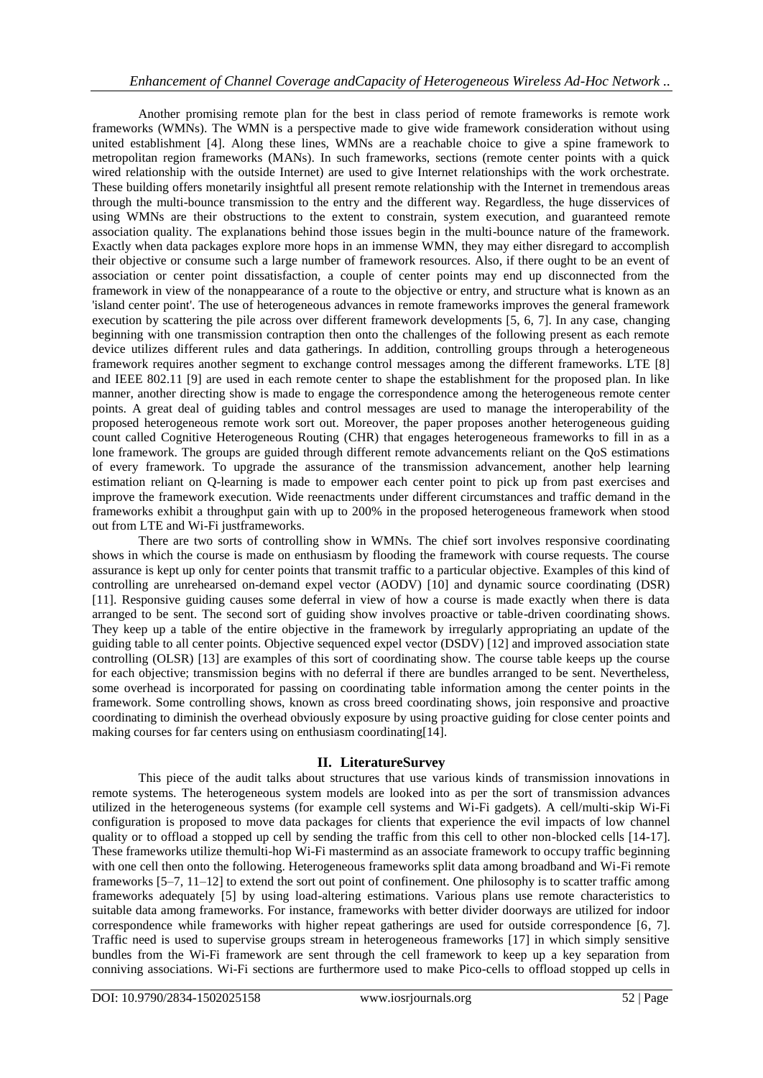Another promising remote plan for the best in class period of remote frameworks is remote work frameworks (WMNs). The WMN is a perspective made to give wide framework consideration without using united establishment [4]. Along these lines, WMNs are a reachable choice to give a spine framework to metropolitan region frameworks (MANs). In such frameworks, sections (remote center points with a quick wired relationship with the outside Internet) are used to give Internet relationships with the work orchestrate. These building offers monetarily insightful all present remote relationship with the Internet in tremendous areas through the multi-bounce transmission to the entry and the different way. Regardless, the huge disservices of using WMNs are their obstructions to the extent to constrain, system execution, and guaranteed remote association quality. The explanations behind those issues begin in the multi-bounce nature of the framework. Exactly when data packages explore more hops in an immense WMN, they may either disregard to accomplish their objective or consume such a large number of framework resources. Also, if there ought to be an event of association or center point dissatisfaction, a couple of center points may end up disconnected from the framework in view of the nonappearance of a route to the objective or entry, and structure what is known as an 'island center point'. The use of heterogeneous advances in remote frameworks improves the general framework execution by scattering the pile across over different framework developments [5, 6, 7]. In any case, changing beginning with one transmission contraption then onto the challenges of the following present as each remote device utilizes different rules and data gatherings. In addition, controlling groups through a heterogeneous framework requires another segment to exchange control messages among the different frameworks. LTE [8] and IEEE 802.11 [9] are used in each remote center to shape the establishment for the proposed plan. In like manner, another directing show is made to engage the correspondence among the heterogeneous remote center points. A great deal of guiding tables and control messages are used to manage the interoperability of the proposed heterogeneous remote work sort out. Moreover, the paper proposes another heterogeneous guiding count called Cognitive Heterogeneous Routing (CHR) that engages heterogeneous frameworks to fill in as a lone framework. The groups are guided through different remote advancements reliant on the QoS estimations of every framework. To upgrade the assurance of the transmission advancement, another help learning estimation reliant on Q-learning is made to empower each center point to pick up from past exercises and improve the framework execution. Wide reenactments under different circumstances and traffic demand in the frameworks exhibit a throughput gain with up to 200% in the proposed heterogeneous framework when stood out from LTE and Wi-Fi justframeworks.

There are two sorts of controlling show in WMNs. The chief sort involves responsive coordinating shows in which the course is made on enthusiasm by flooding the framework with course requests. The course assurance is kept up only for center points that transmit traffic to a particular objective. Examples of this kind of controlling are unrehearsed on-demand expel vector (AODV) [10] and dynamic source coordinating (DSR) [11]. Responsive guiding causes some deferral in view of how a course is made exactly when there is data arranged to be sent. The second sort of guiding show involves proactive or table-driven coordinating shows. They keep up a table of the entire objective in the framework by irregularly appropriating an update of the guiding table to all center points. Objective sequenced expel vector (DSDV) [12] and improved association state controlling (OLSR) [13] are examples of this sort of coordinating show. The course table keeps up the course for each objective; transmission begins with no deferral if there are bundles arranged to be sent. Nevertheless, some overhead is incorporated for passing on coordinating table information among the center points in the framework. Some controlling shows, known as cross breed coordinating shows, join responsive and proactive coordinating to diminish the overhead obviously exposure by using proactive guiding for close center points and making courses for far centers using on enthusiasm coordinating[14].

# **II. LiteratureSurvey**

This piece of the audit talks about structures that use various kinds of transmission innovations in remote systems. The heterogeneous system models are looked into as per the sort of transmission advances utilized in the heterogeneous systems (for example cell systems and Wi-Fi gadgets). A cell/multi-skip Wi-Fi configuration is proposed to move data packages for clients that experience the evil impacts of low channel quality or to offload a stopped up cell by sending the traffic from this cell to other non-blocked cells [14-17]. These frameworks utilize themulti-hop Wi-Fi mastermind as an associate framework to occupy traffic beginning with one cell then onto the following. Heterogeneous frameworks split data among broadband and Wi-Fi remote frameworks [5–7, 11–12] to extend the sort out point of confinement. One philosophy is to scatter traffic among frameworks adequately [5] by using load-altering estimations. Various plans use remote characteristics to suitable data among frameworks. For instance, frameworks with better divider doorways are utilized for indoor correspondence while frameworks with higher repeat gatherings are used for outside correspondence [6, 7]. Traffic need is used to supervise groups stream in heterogeneous frameworks [17] in which simply sensitive bundles from the Wi-Fi framework are sent through the cell framework to keep up a key separation from conniving associations. Wi-Fi sections are furthermore used to make Pico-cells to offload stopped up cells in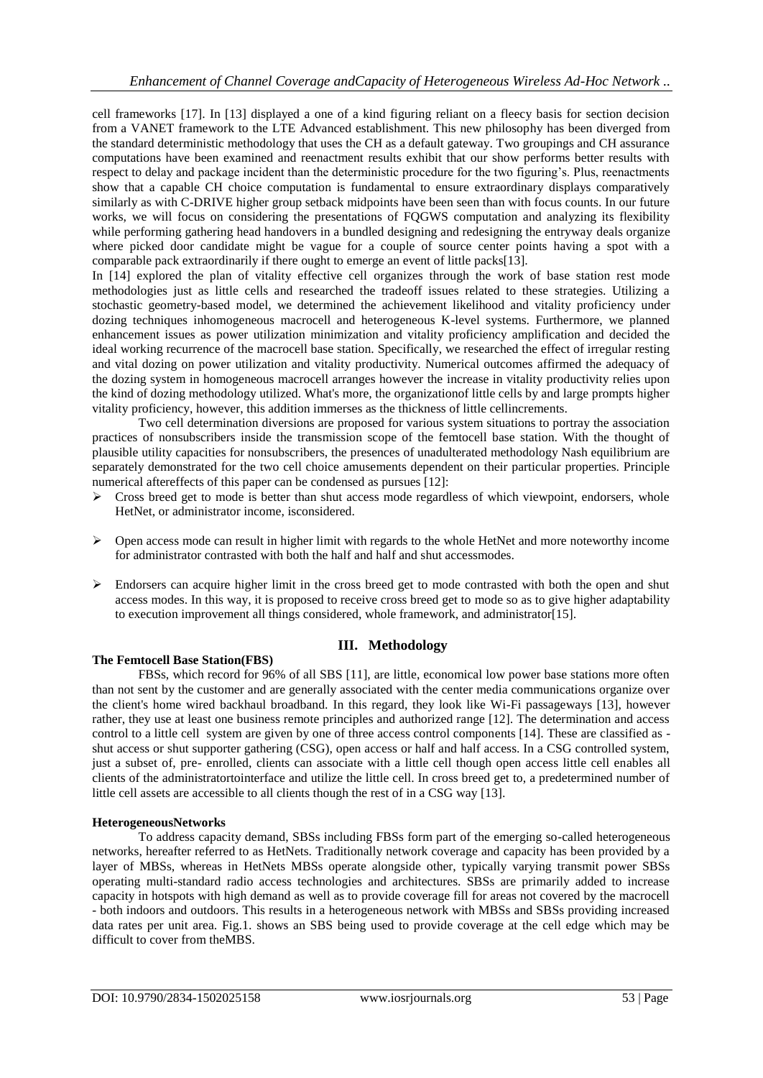cell frameworks [17]. In [13] displayed a one of a kind figuring reliant on a fleecy basis for section decision from a VANET framework to the LTE Advanced establishment. This new philosophy has been diverged from the standard deterministic methodology that uses the CH as a default gateway. Two groupings and CH assurance computations have been examined and reenactment results exhibit that our show performs better results with respect to delay and package incident than the deterministic procedure for the two figuring's. Plus, reenactments show that a capable CH choice computation is fundamental to ensure extraordinary displays comparatively similarly as with C-DRIVE higher group setback midpoints have been seen than with focus counts. In our future works, we will focus on considering the presentations of FQGWS computation and analyzing its flexibility while performing gathering head handovers in a bundled designing and redesigning the entryway deals organize where picked door candidate might be vague for a couple of source center points having a spot with a comparable pack extraordinarily if there ought to emerge an event of little packs[13].

In [14] explored the plan of vitality effective cell organizes through the work of base station rest mode methodologies just as little cells and researched the tradeoff issues related to these strategies. Utilizing a stochastic geometry-based model, we determined the achievement likelihood and vitality proficiency under dozing techniques inhomogeneous macrocell and heterogeneous K-level systems. Furthermore, we planned enhancement issues as power utilization minimization and vitality proficiency amplification and decided the ideal working recurrence of the macrocell base station. Specifically, we researched the effect of irregular resting and vital dozing on power utilization and vitality productivity. Numerical outcomes affirmed the adequacy of the dozing system in homogeneous macrocell arranges however the increase in vitality productivity relies upon the kind of dozing methodology utilized. What's more, the organizationof little cells by and large prompts higher vitality proficiency, however, this addition immerses as the thickness of little cellincrements.

Two cell determination diversions are proposed for various system situations to portray the association practices of nonsubscribers inside the transmission scope of the femtocell base station. With the thought of plausible utility capacities for nonsubscribers, the presences of unadulterated methodology Nash equilibrium are separately demonstrated for the two cell choice amusements dependent on their particular properties. Principle numerical aftereffects of this paper can be condensed as pursues [12]:

- $\triangleright$  Cross breed get to mode is better than shut access mode regardless of which viewpoint, endorsers, whole HetNet, or administrator income, isconsidered.
- $\triangleright$  Open access mode can result in higher limit with regards to the whole HetNet and more noteworthy income for administrator contrasted with both the half and half and shut accessmodes.
- $\triangleright$  Endorsers can acquire higher limit in the cross breed get to mode contrasted with both the open and shut access modes. In this way, it is proposed to receive cross breed get to mode so as to give higher adaptability to execution improvement all things considered, whole framework, and administrator[15].

# **III. Methodology**

# **The Femtocell Base Station(FBS)**

FBSs, which record for 96% of all SBS [11], are little, economical low power base stations more often than not sent by the customer and are generally associated with the center media communications organize over the client's home wired backhaul broadband. In this regard, they look like Wi-Fi passageways [13], however rather, they use at least one business remote principles and authorized range [12]. The determination and access control to a little cell system are given by one of three access control components [14]. These are classified as shut access or shut supporter gathering (CSG), open access or half and half access. In a CSG controlled system, just a subset of, pre- enrolled, clients can associate with a little cell though open access little cell enables all clients of the administratortointerface and utilize the little cell. In cross breed get to, a predetermined number of little cell assets are accessible to all clients though the rest of in a CSG way [13].

#### **HeterogeneousNetworks**

To address capacity demand, SBSs including FBSs form part of the emerging so-called heterogeneous networks, hereafter referred to as HetNets. Traditionally network coverage and capacity has been provided by a layer of MBSs, whereas in HetNets MBSs operate alongside other, typically varying transmit power SBSs operating multi-standard radio access technologies and architectures. SBSs are primarily added to increase capacity in hotspots with high demand as well as to provide coverage fill for areas not covered by the macrocell - both indoors and outdoors. This results in a heterogeneous network with MBSs and SBSs providing increased data rates per unit area. Fig.1. shows an SBS being used to provide coverage at the cell edge which may be difficult to cover from theMBS.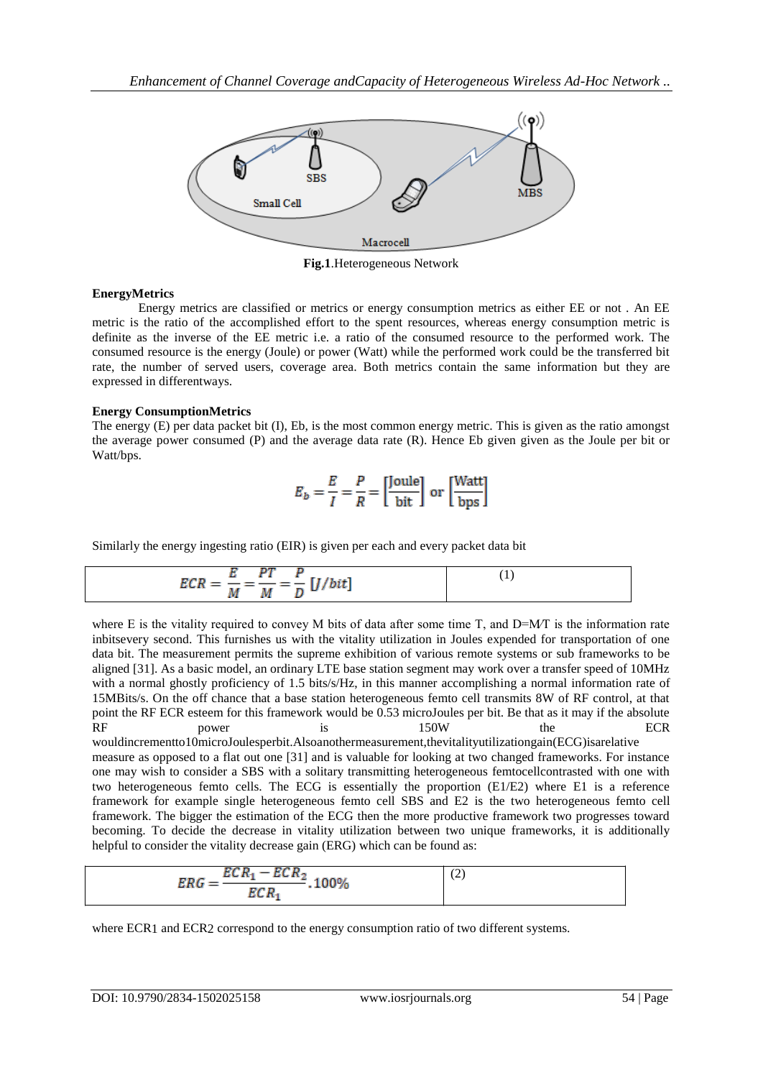

**Fig.1**.Heterogeneous Network

## **EnergyMetrics**

Energy metrics are classified or metrics or energy consumption metrics as either EE or not . An EE metric is the ratio of the accomplished effort to the spent resources, whereas energy consumption metric is definite as the inverse of the EE metric i.e. a ratio of the consumed resource to the performed work. The consumed resource is the energy (Joule) or power (Watt) while the performed work could be the transferred bit rate, the number of served users, coverage area. Both metrics contain the same information but they are expressed in differentways.

## **Energy ConsumptionMetrics**

The energy (E) per data packet bit (I), Eb, is the most common energy metric. This is given as the ratio amongst the average power consumed (P) and the average data rate (R). Hence Eb given given as the Joule per bit or Watt/bps.

$$
E_b = \frac{E}{I} = \frac{P}{R} = \left[\frac{\text{Joule}}{\text{bit}}\right] \text{ or } \left[\frac{\text{Watt}}{\text{bps}}\right]
$$

Similarly the energy ingesting ratio (EIR) is given per each and every packet data bit

$$
ECR = \frac{E}{M} = \frac{PT}{M} = \frac{P}{D} [J/bit]
$$
 (1)

where E is the vitality required to convey M bits of data after some time T, and  $D=MT$  is the information rate inbitsevery second. This furnishes us with the vitality utilization in Joules expended for transportation of one data bit. The measurement permits the supreme exhibition of various remote systems or sub frameworks to be aligned [31]. As a basic model, an ordinary LTE base station segment may work over a transfer speed of 10MHz with a normal ghostly proficiency of 1.5 bits/s/Hz, in this manner accomplishing a normal information rate of 15MBits/s. On the off chance that a base station heterogeneous femto cell transmits 8W of RF control, at that point the RF ECR esteem for this framework would be 0.53 microJoules per bit. Be that as it may if the absolute RF power is 150W the ECR

wouldincrementto10microJoulesperbit.Alsoanothermeasurement,thevitalityutilizationgain(ECG)isarelative measure as opposed to a flat out one [31] and is valuable for looking at two changed frameworks. For instance one may wish to consider a SBS with a solitary transmitting heterogeneous femtocellcontrasted with one with two heterogeneous femto cells. The ECG is essentially the proportion (E1/E2) where E1 is a reference framework for example single heterogeneous femto cell SBS and E2 is the two heterogeneous femto cell framework. The bigger the estimation of the ECG then the more productive framework two progresses toward becoming. To decide the decrease in vitality utilization between two unique frameworks, it is additionally helpful to consider the vitality decrease gain (ERG) which can be found as:

$$
ERG = \frac{ECR_1 - ECR_2}{ECR_1} \cdot 100\%
$$
 (2)

where ECR1 and ECR2 correspond to the energy consumption ratio of two different systems.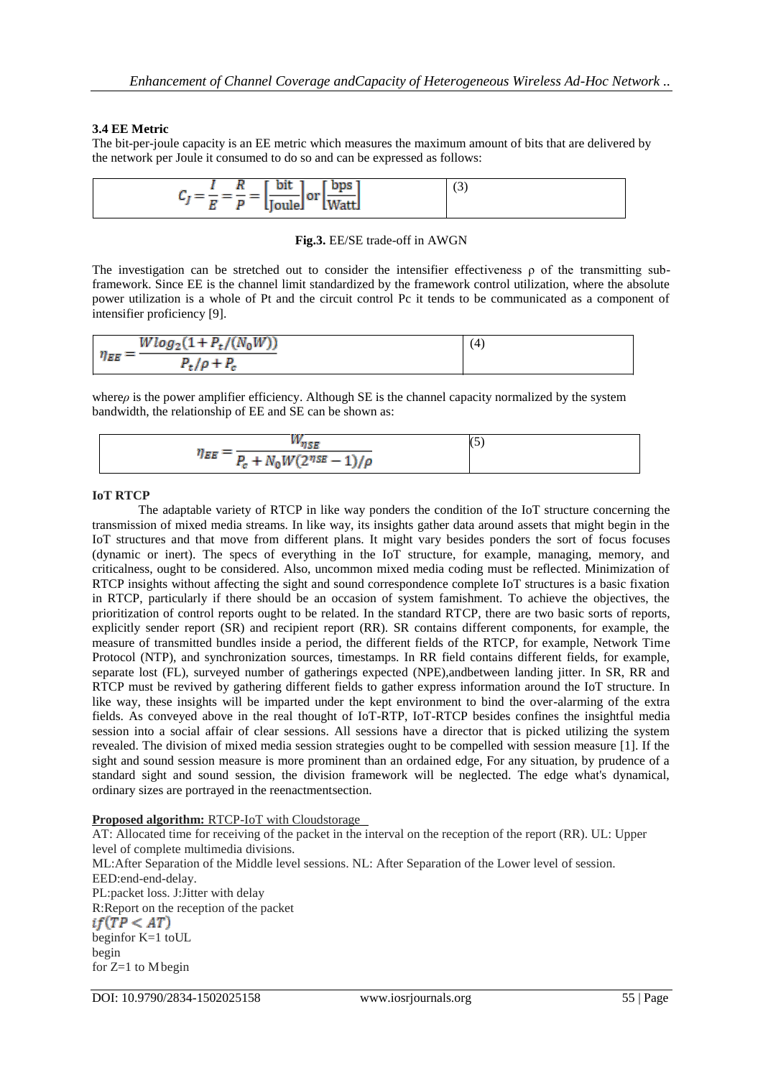## **3.4 EE Metric**

The bit-per-joule capacity is an EE metric which measures the maximum amount of bits that are delivered by the network per Joule it consumed to do so and can be expressed as follows:

| $[$ bps $]$<br>$\lceil \cdot \text{bit} \rceil$<br>$\mathbf{a}$ | $\sqrt{2}$<br>C) |
|-----------------------------------------------------------------|------------------|
| ч. т<br><b>LWattJ</b><br>$E \cap P$ [Joule]                     |                  |

#### **Fig.3.** EE/SE trade-off in AWGN

The investigation can be stretched out to consider the intensifier effectiveness  $\rho$  of the transmitting subframework. Since EE is the channel limit standardized by the framework control utilization, where the absolute power utilization is a whole of Pt and the circuit control Pc it tends to be communicated as a component of intensifier proficiency [9].

$$
\eta_{EE} = \frac{W \log_2(1 + P_t/(N_0 W))}{P_t/\rho + P_c}
$$
\n(4)

where*ρ* is the power amplifier efficiency. Although SE is the channel capacity normalized by the system bandwidth, the relationship of EE and SE can be shown as:

| 75 B                                               |  |
|----------------------------------------------------|--|
| $\eta_{\it EE}$<br>$P_c + N_0 W(2^{nSE} - 1)/\rho$ |  |

## **IoT RTCP**

The adaptable variety of RTCP in like way ponders the condition of the IoT structure concerning the transmission of mixed media streams. In like way, its insights gather data around assets that might begin in the IoT structures and that move from different plans. It might vary besides ponders the sort of focus focuses (dynamic or inert). The specs of everything in the IoT structure, for example, managing, memory, and criticalness, ought to be considered. Also, uncommon mixed media coding must be reflected. Minimization of RTCP insights without affecting the sight and sound correspondence complete IoT structures is a basic fixation in RTCP, particularly if there should be an occasion of system famishment. To achieve the objectives, the prioritization of control reports ought to be related. In the standard RTCP, there are two basic sorts of reports, explicitly sender report (SR) and recipient report (RR). SR contains different components, for example, the measure of transmitted bundles inside a period, the different fields of the RTCP, for example, Network Time Protocol (NTP), and synchronization sources, timestamps. In RR field contains different fields, for example, separate lost (FL), surveyed number of gatherings expected (NPE),andbetween landing jitter. In SR, RR and RTCP must be revived by gathering different fields to gather express information around the IoT structure. In like way, these insights will be imparted under the kept environment to bind the over-alarming of the extra fields. As conveyed above in the real thought of IoT-RTP, IoT-RTCP besides confines the insightful media session into a social affair of clear sessions. All sessions have a director that is picked utilizing the system revealed. The division of mixed media session strategies ought to be compelled with session measure [1]. If the sight and sound session measure is more prominent than an ordained edge, For any situation, by prudence of a standard sight and sound session, the division framework will be neglected. The edge what's dynamical, ordinary sizes are portrayed in the reenactmentsection.

#### **Proposed algorithm:** RTCP-IoT with Cloudstorage

AT: Allocated time for receiving of the packet in the interval on the reception of the report (RR). UL: Upper level of complete multimedia divisions. ML:After Separation of the Middle level sessions. NL: After Separation of the Lower level of session. EED:end-end-delay. PL:packet loss. J:Jitter with delay R:Report on the reception of the packet  $if(TP < AT)$ beginfor K=1 toUL begin for  $Z=1$  to M begin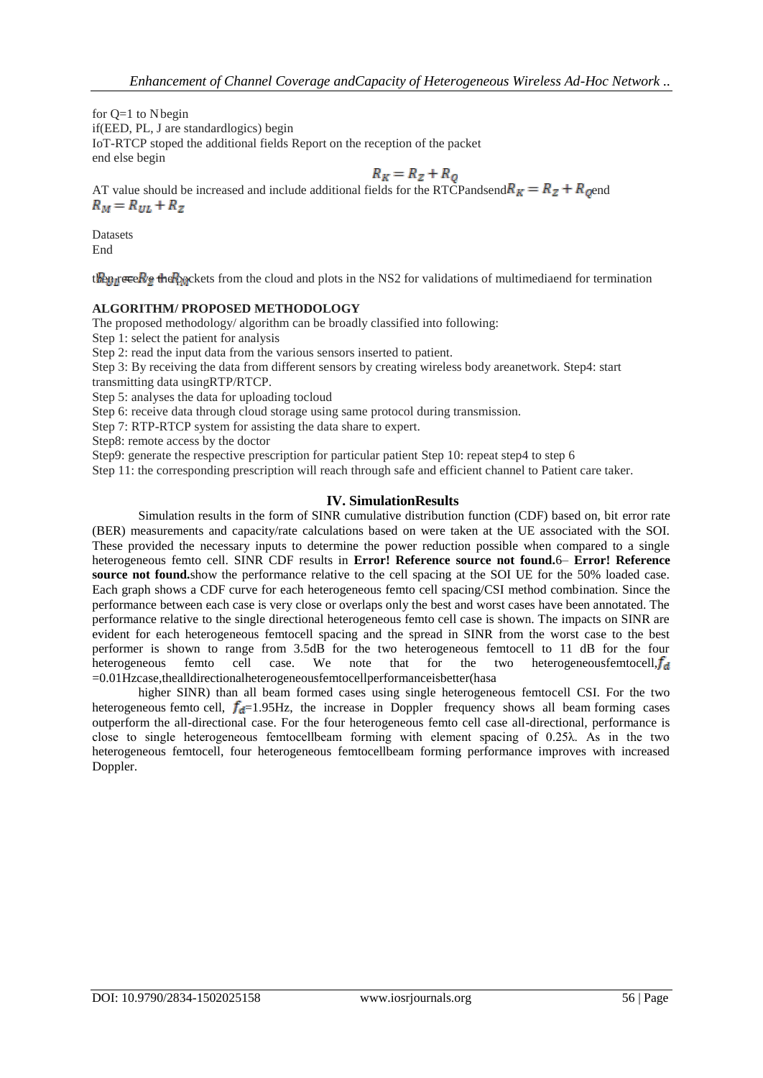for  $Q=1$  to N begin if(EED, PL, J are standardlogics) begin IoT-RTCP stoped the additional fields Report on the reception of the packet end else begin

 $R_K = R_Z + R_Q$ <br>AT value should be increased and include additional fields for the RTCPandsend  $R_K = R_Z + R_Q$  $R_M = R_{UL} + R_Z$ 

Datasets End

then receive the packets from the cloud and plots in the NS2 for validations of multimediaend for termination

## **ALGORITHM/ PROPOSED METHODOLOGY**

The proposed methodology/ algorithm can be broadly classified into following:

Step 1: select the patient for analysis

Step 2: read the input data from the various sensors inserted to patient.

Step 3: By receiving the data from different sensors by creating wireless body areanetwork. Step4: start

transmitting data usingRTP/RTCP.

Step 5: analyses the data for uploading tocloud

Step 6: receive data through cloud storage using same protocol during transmission.

Step 7: RTP-RTCP system for assisting the data share to expert.

Step8: remote access by the doctor

Step9: generate the respective prescription for particular patient Step 10: repeat step4 to step 6

Step 11: the corresponding prescription will reach through safe and efficient channel to Patient care taker.

# **IV. SimulationResults**

Simulation results in the form of SINR cumulative distribution function (CDF) based on, bit error rate (BER) measurements and capacity/rate calculations based on were taken at the UE associated with the SOI. These provided the necessary inputs to determine the power reduction possible when compared to a single heterogeneous femto cell. SINR CDF results in **Error! Reference source not found.**6– **Error! Reference source not found.**show the performance relative to the cell spacing at the SOI UE for the 50% loaded case. Each graph shows a CDF curve for each heterogeneous femto cell spacing/CSI method combination. Since the performance between each case is very close or overlaps only the best and worst cases have been annotated. The performance relative to the single directional heterogeneous femto cell case is shown. The impacts on SINR are evident for each heterogeneous femtocell spacing and the spread in SINR from the worst case to the best performer is shown to range from 3.5dB for the two heterogeneous femtocell to 11 dB for the four heterogeneous femto cell case. We note that for the two heterogeneous femtocell,  $f_d$ =0.01Hzcase,thealldirectionalheterogeneousfemtocellperformanceisbetter(hasa

higher SINR) than all beam formed cases using single heterogeneous femtocell CSI. For the two heterogeneous femto cell,  $f_{d}$ =1.95Hz, the increase in Doppler frequency shows all beam forming cases outperform the all-directional case. For the four heterogeneous femto cell case all-directional, performance is close to single heterogeneous femtocellbeam forming with element spacing of 0.25λ. As in the two heterogeneous femtocell, four heterogeneous femtocellbeam forming performance improves with increased Doppler.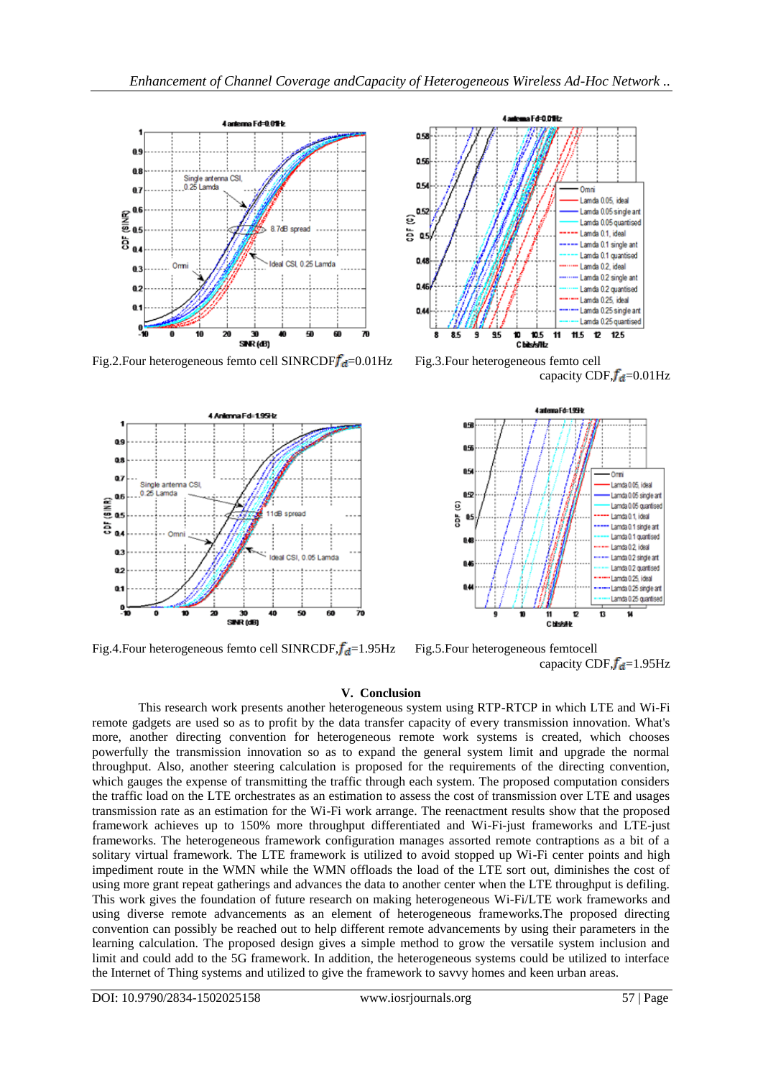

Fig.2.Four heterogeneous femto cell SINRCDF $f_d$ =0.01Hz Fig.3.Four heterogeneous femto cell



Fig.4.Four heterogeneous femto cell SINRCDF, $f_d$ =1.95Hz Fig.5.Four heterogeneous femtocell



capacity CDF, $f_{d}$ =0.01Hz



capacity CDF, $f_{d}=1.95\text{Hz}$ 

#### **V. Conclusion**

This research work presents another heterogeneous system using RTP-RTCP in which LTE and Wi-Fi remote gadgets are used so as to profit by the data transfer capacity of every transmission innovation. What's more, another directing convention for heterogeneous remote work systems is created, which chooses powerfully the transmission innovation so as to expand the general system limit and upgrade the normal throughput. Also, another steering calculation is proposed for the requirements of the directing convention, which gauges the expense of transmitting the traffic through each system. The proposed computation considers the traffic load on the LTE orchestrates as an estimation to assess the cost of transmission over LTE and usages transmission rate as an estimation for the Wi-Fi work arrange. The reenactment results show that the proposed framework achieves up to 150% more throughput differentiated and Wi-Fi-just frameworks and LTE-just frameworks. The heterogeneous framework configuration manages assorted remote contraptions as a bit of a solitary virtual framework. The LTE framework is utilized to avoid stopped up Wi-Fi center points and high impediment route in the WMN while the WMN offloads the load of the LTE sort out, diminishes the cost of using more grant repeat gatherings and advances the data to another center when the LTE throughput is defiling. This work gives the foundation of future research on making heterogeneous Wi-Fi/LTE work frameworks and using diverse remote advancements as an element of heterogeneous frameworks.The proposed directing convention can possibly be reached out to help different remote advancements by using their parameters in the learning calculation. The proposed design gives a simple method to grow the versatile system inclusion and limit and could add to the 5G framework. In addition, the heterogeneous systems could be utilized to interface the Internet of Thing systems and utilized to give the framework to savvy homes and keen urban areas.

DOI: 10.9790/2834-1502025158 www.iosrjournals.org 57 | Page